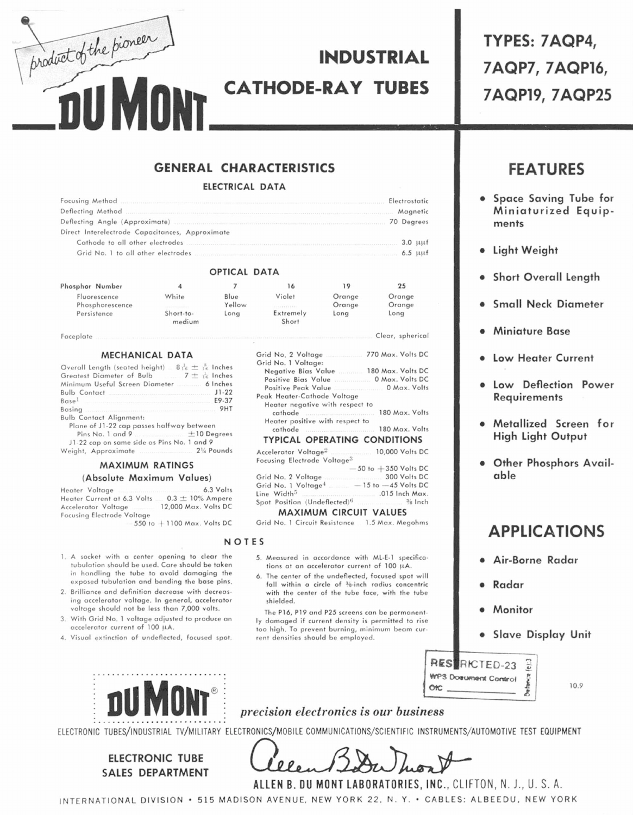**INDUSTRIAL CATHODE-RAY TUBES** 

# **GENERAL CHARACTERISTICS**

#### **ELECTRICAL DATA**

| Deflecting Method <b>Magnetic</b> Magnetic Magnetic Magnetic Magnetic Magnetic Magnetic |  |
|-----------------------------------------------------------------------------------------|--|
| Deflecting Angle (Approximate) 20 Degrees                                               |  |
| Direct Interelectrode Capacitances, Approximate                                         |  |
|                                                                                         |  |
|                                                                                         |  |

#### OPTICAL DATA

| Phosphor Number                 |                                      |                | 16                                                                                 | 19               | 25               |
|---------------------------------|--------------------------------------|----------------|------------------------------------------------------------------------------------|------------------|------------------|
| Fluorescence<br>Phosphorescence | White<br>a manuscription of the con- | Blue<br>Yellow | Violet<br><b><i>A</i></b>                                                          | Orange<br>Orange | Orange<br>Orange |
| Persistence                     | Short-to-<br>medium                  | Long           | Extremely<br>Short                                                                 | Long             | Long             |
| Faceplate                       |                                      |                | FULL TERMINE TERRITARI ERAP TELIMI ETA PROGRESIA ERRETA ETA POLITIKA ERRETA GIRLIK |                  | Clear, spherical |

#### Faceplate

product of the pioneer

#### MECHANICAL DATA

| Overall Length (seated height) $8\frac{1}{16} \pm \frac{3}{16}$ Inches |
|------------------------------------------------------------------------|
| Greatest Diameter of Bulb $7 \pm \frac{1}{10}$ Inches                  |
|                                                                        |
| Bulb Contact 31-22                                                     |
| $Base1$ E9-37                                                          |
| Basing 9HT                                                             |
| <b>Bulb Contact Alignment:</b>                                         |
| Plane of J1-22 cap passes halfway between                              |
| Pins No. 1 and 9 $\pm$ 10 Degrees                                      |
| J1-22 cap on same side as Pins No. 1 and 9                             |

21/4 Pounds Weight, Approximate

#### **MAXIMUM RATINGS** (Absolute Maximum Values)

Heater Voltage 6.3 Volts Heater Current at 6.3 Volts ...  $0.3 \pm 10\%$  Ampere Accelerator Voltage 12,000 Max. Volts DC Focusing Electrode Voltage

 $550$  to  $+1100$  Max. Volts DC

1. A socket with a center opening to clear the tubulation should be used. Care should be taken

- in handling the tube to avoid damaging the exposed tubulation and bending the base pins. 2. Brilliance and definition decrease with decreas-
- ing accelerator voltage. In general, accelerator voltage should not be less than 7,000 volts.
- 3. With Grid No. 1 voltage adjusted to produce an accelerator current of 100 µA.
- 4. Visual extinction of undeflected, focused spot.

| Grid No. 2 Voltage 770 Max. Volts DC             |                          |
|--------------------------------------------------|--------------------------|
| Grid No. 1 Voltage:                              |                          |
| Negative Bias Value  180 Max. Volts DC           |                          |
| Positive Bias Value 0 Max. Volts DC              |                          |
| Positive Peak Value 0 Max. Volts                 |                          |
| Peak Heater-Cathode Voltage                      |                          |
| Heater negative with respect to                  |                          |
|                                                  | 180 Max. Volts           |
| Heater positive with respect to                  |                          |
| cathode 180 Max. Volts                           |                          |
| <b>TYPICAL OPERATING CONDITIONS</b>              |                          |
| Accelerator Voltage <sup>2</sup> 10,000 Volts DC |                          |
| Focusing Electrode Voltage <sup>3</sup>          |                          |
|                                                  | $-50$ to $+350$ Volts DC |

300 Volts DC Grid No. 2 Voltage  $-15$  to  $-45$  Volts DC Grid No. 1 Voltage<sup>4</sup> Line Width<sup>5</sup> .015 Inch Max. Spot Position (Undeflected)<sup>6</sup> <sup>3/8</sup> Inch

### **MAXIMUM CIRCUIT VALUES**

Grid No. 1 Circuit Resistance 1.5 Max. Megohms

#### NOTES

- 5. Measured in accordance with ML-E-1 specifications at an accelerator current of 100 µA.
- 6. The center of the undeflected, focused spot will fall within a circle of <sup>3</sup>8-inch radius concentric with the center of the tube face, with the tube shielded.

The P16, P19 and P25 screens can be permanently damaged if current density is permitted to rise too high. To prevent burning, minimum beam current densities should be employed.



# **FEATURES**

- Space Saving Tube for Miniaturized Equipments
- Light Weight
- **Short Overall Length**
- **Small Neck Diameter**
- **Miniature Base**
- **Low Heater Current**
- Low Deflection Power **Requirements**
- · Metallized Screen for High Light Output
- . Other Phosphors Available

# **APPLICATIONS**

- Air-Borne Radar
- Radar
- Monitor
- · Slave Display Unit



10.9



**ELECTRONIC TUBE SALES DEPARTMENT** 

## *precision electronics is our business*

ELECTRONIC TUBES/INDUSTRIAL TV/MILITARY ELECTRONICS/MOBILE COMMUNICATIONS/SCIENTIFIC INSTRUMENTS/AUTOMOTIVE TEST EQUIPMENT

ALLEN B. DU MONT LABORATORIES, INC., CLIFTON, N. J., U. S. A.

INTERNATIONAL DIVISION . 515 MADISON AVENUE, NEW YORK 22, N.Y. . CABLES: ALBEEDU, NEW YORK